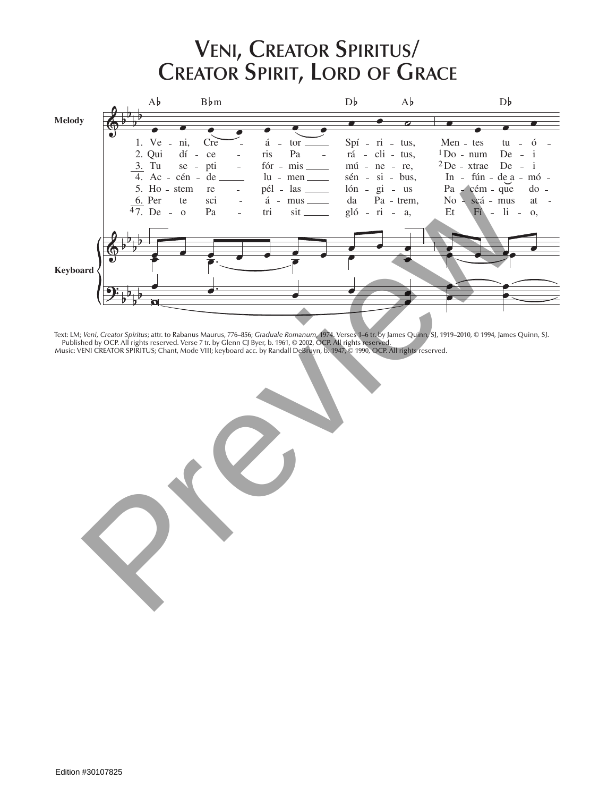## **Veni, Creator Spiritus/ Creator Spirit, Lord of Grace**



Text: LM; *Veni, Creator Spiritus*; attr. to Rabanus Maurus, 776–856; *Graduale Romanum*, 1974. Verses 1–6 tr. by James Quinn, SJ, 1919–2010, © 1994, James Quinn, SJ. Published by OCP. All rights reserved. Verse 7 tr. by Glenn CJ Byer, b. 1961, © 2002, OCP. All rights reserved.

> vus, te

li tu

 $\mathcal{L}$  $\overline{\phantom{a}}$ um,  $\overline{\phantom{a}}$ Tu In Du Te Sur

ple

ri fír ctó

ré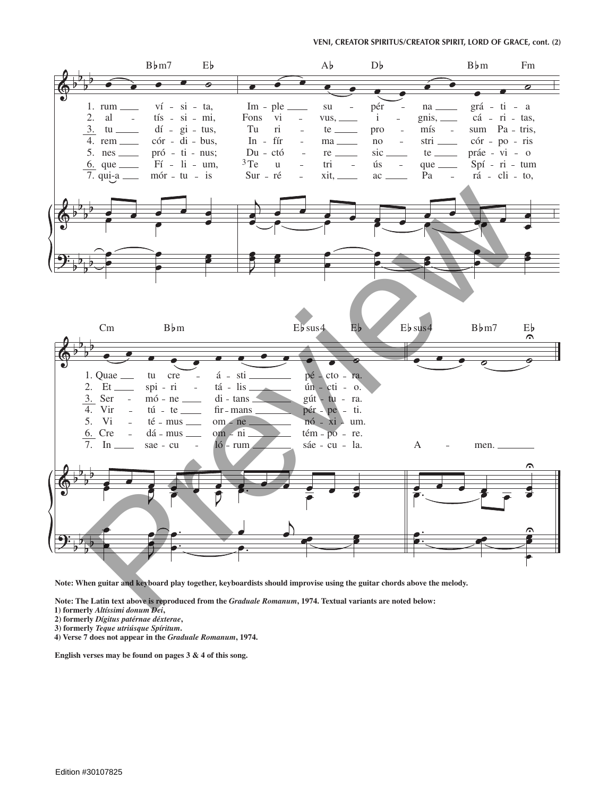

**Note: When guitar and keyboard play together, keyboardists should improvise using the guitar chords above the melody.** 

**Note: The Latin text above is reproduced from the** *Graduale Romanum***, 1974. Textual variants are noted below:**

- **1) formerly** *Altíssimi donum Dei***,**
- **2) formerly** *Dígitus patérnae déxterae***,**
- **3) formerly** *Teque utriúsque Spíritum***.**
- **4) Verse 7 does not appear in the** *Graduale Romanum***, 1974.**

**English verses may be found on pages 3 & 4 of this song.**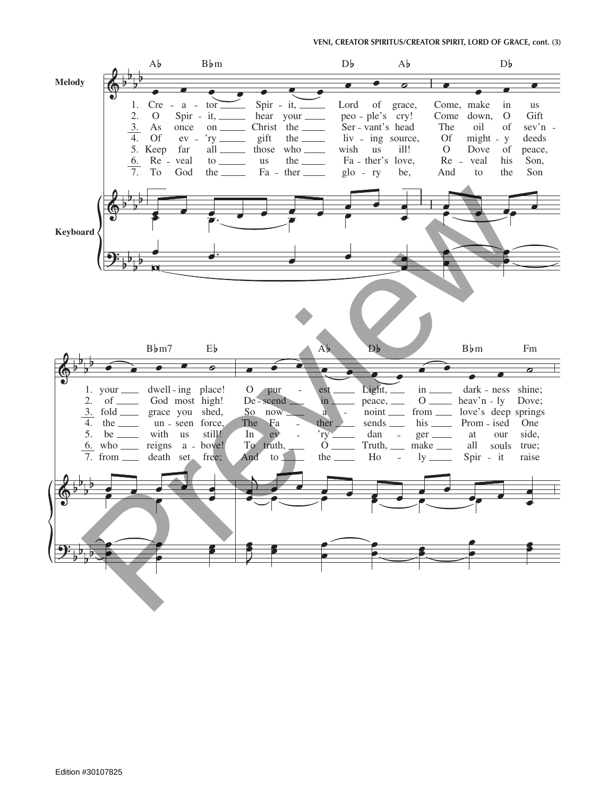